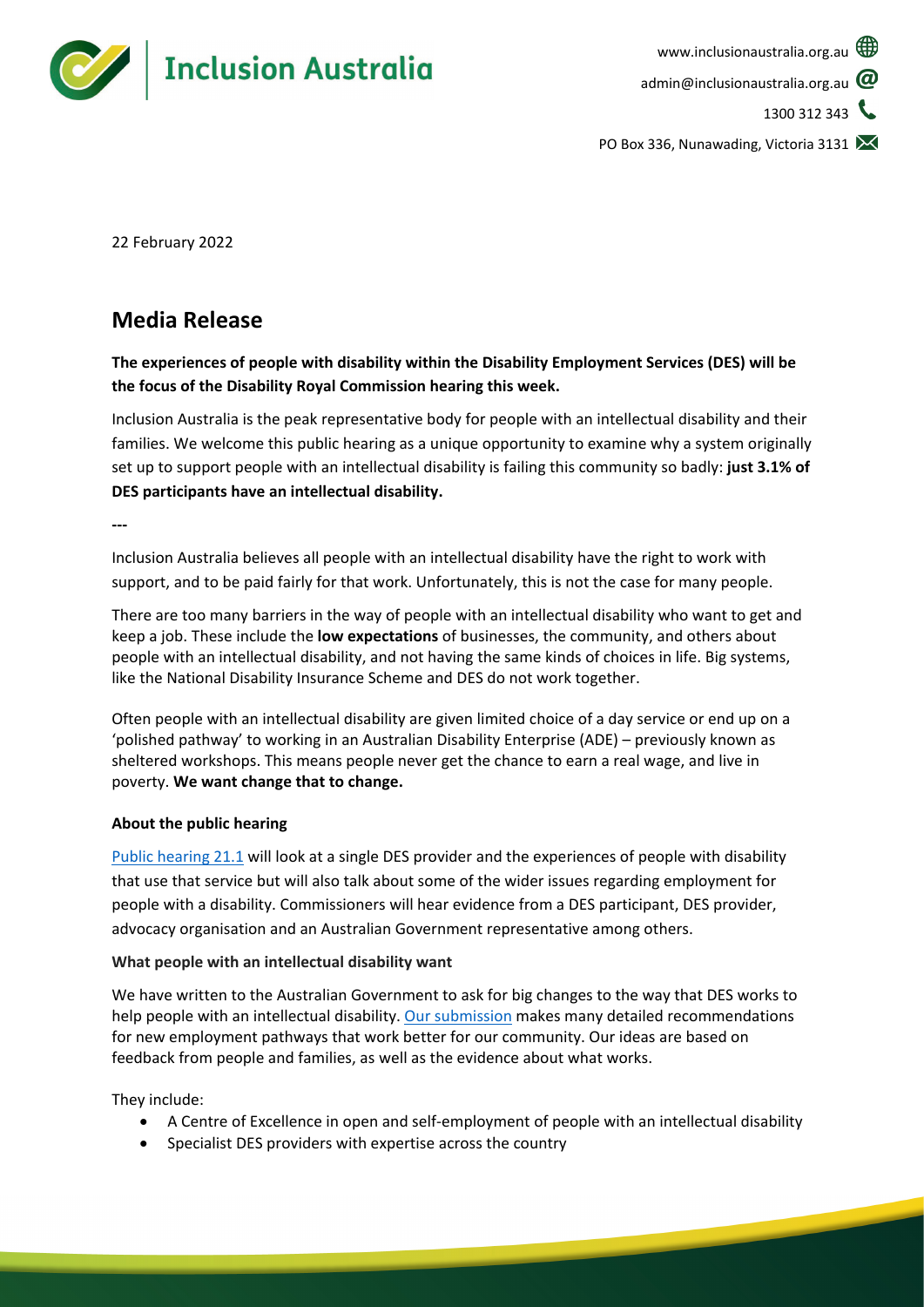

PO Box 336, Nunawading, Victoria 3131

22 February 2022

# **Media Release**

**The experiences of people with disability within the Disability Employment Services (DES) will be the focus of the Disability Royal Commission hearing this week.** 

Inclusion Australia is the peak representative body for people with an intellectual disability and their families. We welcome this public hearing as a unique opportunity to examine why a system originally set up to support people with an intellectual disability is failing this community so badly: **just 3.1% of DES participants have an intellectual disability.** 

**---**

Inclusion Australia believes all people with an intellectual disability have the right to work with support, and to be paid fairly for that work. Unfortunately, this is not the case for many people.

There are too many barriers in the way of people with an intellectual disability who want to get and keep a job. These include the **low expectations** of businesses, the community, and others about people with an intellectual disability, and not having the same kinds of choices in life. Big systems, like the National Disability Insurance Scheme and DES do not work together.

Often people with an intellectual disability are given limited choice of a day service or end up on a 'polished pathway' to working in an Australian Disability Enterprise (ADE) – previously known as sheltered workshops. This means people never get the chance to earn a real wage, and live in poverty. **We want change that to change.**

# **About the public hearing**

[Public hearing 21.1](https://disability.royalcommission.gov.au/public-hearings/public-hearing-21) will look at a single DES provider and the experiences of people with disability that use that service but will also talk about some of the wider issues regarding employment for people with a disability. Commissioners will hear evidence from a DES participant, DES provider, advocacy organisation and an Australian Government representative among others.

# **What people with an intellectual disability want**

We have written to the Australian Government to ask for big changes to the way that DES works to help people with an intellectual disability. [Our submission](https://www.inclusionaustralia.org.au/submission/disability-employment-system-reform-submission/) makes many detailed recommendations for new employment pathways that work better for our community. Our ideas are based on feedback from people and families, as well as the evidence about what works.

They include:

- A Centre of Excellence in open and self-employment of people with an intellectual disability
- Specialist DES providers with expertise across the country